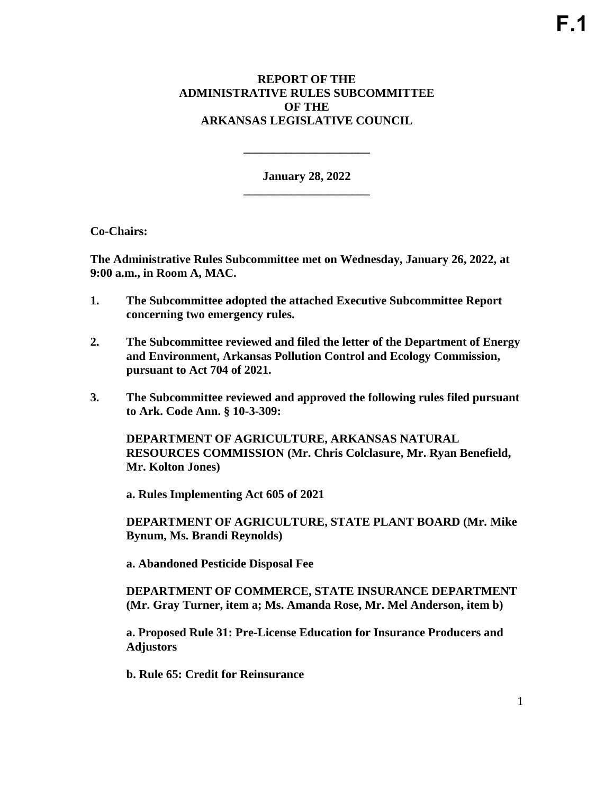## **REPORT OF THE ADMINISTRATIVE RULES SUBCOMMITTEE OF THE ARKANSAS LEGISLATIVE COUNCIL**

**January 28, 2022 \_\_\_\_\_\_\_\_\_\_\_\_\_\_\_\_\_\_\_\_\_** 

**\_\_\_\_\_\_\_\_\_\_\_\_\_\_\_\_\_\_\_\_\_** 

**Co-Chairs:** 

**The Administrative Rules Subcommittee met on Wednesday, January 26, 2022, at 9:00 a.m., in Room A, MAC.** 

- **1. The Subcommittee adopted the attached Executive Subcommittee Report concerning two emergency rules.**
- **2. The Subcommittee reviewed and filed the letter of the Department of Energy and Environment, Arkansas Pollution Control and Ecology Commission, pursuant to Act 704 of 2021.**
- **3. The Subcommittee reviewed and approved the following rules filed pursuant to Ark. Code Ann. § 10-3-309:**

**DEPARTMENT OF AGRICULTURE, ARKANSAS NATURAL RESOURCES COMMISSION (Mr. Chris Colclasure, Mr. Ryan Benefield, Mr. Kolton Jones)** 

**a. Rules Implementing Act 605 of 2021**

**DEPARTMENT OF AGRICULTURE, STATE PLANT BOARD (Mr. Mike Bynum, Ms. Brandi Reynolds)** 

**a. Abandoned Pesticide Disposal Fee**

**DEPARTMENT OF COMMERCE, STATE INSURANCE DEPARTMENT (Mr. Gray Turner, item a; Ms. Amanda Rose, Mr. Mel Anderson, item b)** 

**a. Proposed Rule 31: Pre-License Education for Insurance Producers and Adjustors** 

**b. Rule 65: Credit for Reinsurance**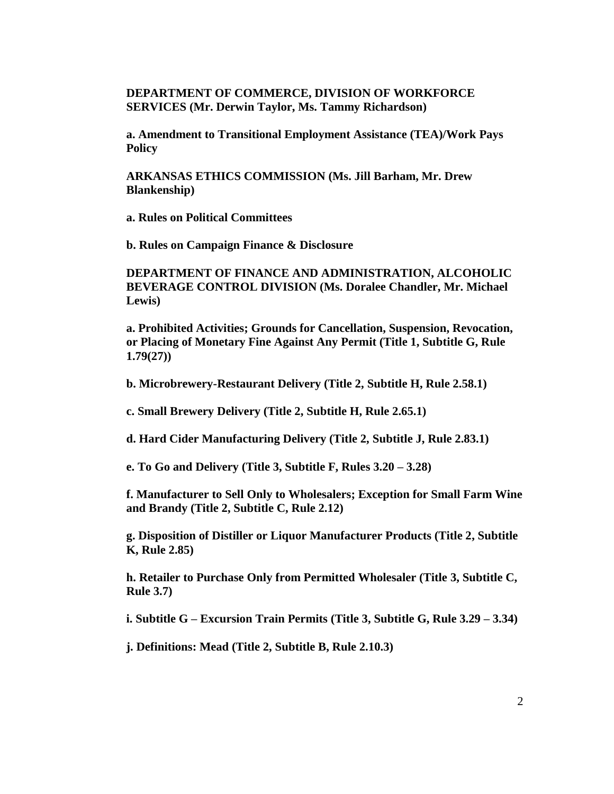## **DEPARTMENT OF COMMERCE, DIVISION OF WORKFORCE SERVICES (Mr. Derwin Taylor, Ms. Tammy Richardson)**

**a. Amendment to Transitional Employment Assistance (TEA)/Work Pays Policy**

**ARKANSAS ETHICS COMMISSION (Ms. Jill Barham, Mr. Drew Blankenship)**

**a. Rules on Political Committees**

**b. Rules on Campaign Finance & Disclosure**

**DEPARTMENT OF FINANCE AND ADMINISTRATION, ALCOHOLIC BEVERAGE CONTROL DIVISION (Ms. Doralee Chandler, Mr. Michael Lewis)**

**a. Prohibited Activities; Grounds for Cancellation, Suspension, Revocation, or Placing of Monetary Fine Against Any Permit (Title 1, Subtitle G, Rule 1.79(27))**

**b. Microbrewery-Restaurant Delivery (Title 2, Subtitle H, Rule 2.58.1)**

**c. Small Brewery Delivery (Title 2, Subtitle H, Rule 2.65.1)**

**d. Hard Cider Manufacturing Delivery (Title 2, Subtitle J, Rule 2.83.1)**

**e. To Go and Delivery (Title 3, Subtitle F, Rules 3.20 – 3.28)**

**f. Manufacturer to Sell Only to Wholesalers; Exception for Small Farm Wine and Brandy (Title 2, Subtitle C, Rule 2.12)**

**g. Disposition of Distiller or Liquor Manufacturer Products (Title 2, Subtitle K, Rule 2.85)**

**h. Retailer to Purchase Only from Permitted Wholesaler (Title 3, Subtitle C, Rule 3.7)**

**i. Subtitle G – Excursion Train Permits (Title 3, Subtitle G, Rule 3.29 – 3.34)**

**j. Definitions: Mead (Title 2, Subtitle B, Rule 2.10.3)**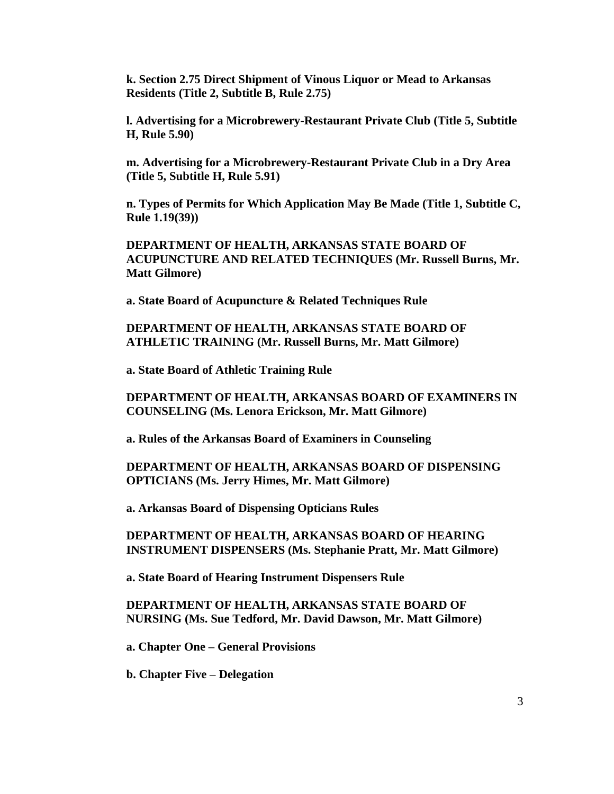**k. Section 2.75 Direct Shipment of Vinous Liquor or Mead to Arkansas Residents (Title 2, Subtitle B, Rule 2.75)**

**l. Advertising for a Microbrewery-Restaurant Private Club (Title 5, Subtitle H, Rule 5.90)**

**m. Advertising for a Microbrewery-Restaurant Private Club in a Dry Area (Title 5, Subtitle H, Rule 5.91)**

**n. Types of Permits for Which Application May Be Made (Title 1, Subtitle C, Rule 1.19(39))**

**DEPARTMENT OF HEALTH, ARKANSAS STATE BOARD OF ACUPUNCTURE AND RELATED TECHNIQUES (Mr. Russell Burns, Mr. Matt Gilmore)**

**a. State Board of Acupuncture & Related Techniques Rule**

**DEPARTMENT OF HEALTH, ARKANSAS STATE BOARD OF ATHLETIC TRAINING (Mr. Russell Burns, Mr. Matt Gilmore)**

**a. State Board of Athletic Training Rule**

**DEPARTMENT OF HEALTH, ARKANSAS BOARD OF EXAMINERS IN COUNSELING (Ms. Lenora Erickson, Mr. Matt Gilmore)**

**a. Rules of the Arkansas Board of Examiners in Counseling**

**DEPARTMENT OF HEALTH, ARKANSAS BOARD OF DISPENSING OPTICIANS (Ms. Jerry Himes, Mr. Matt Gilmore)**

**a. Arkansas Board of Dispensing Opticians Rules**

**DEPARTMENT OF HEALTH, ARKANSAS BOARD OF HEARING INSTRUMENT DISPENSERS (Ms. Stephanie Pratt, Mr. Matt Gilmore)**

**a. State Board of Hearing Instrument Dispensers Rule**

**DEPARTMENT OF HEALTH, ARKANSAS STATE BOARD OF NURSING (Ms. Sue Tedford, Mr. David Dawson, Mr. Matt Gilmore)**

**a. Chapter One – General Provisions**

**b. Chapter Five – Delegation**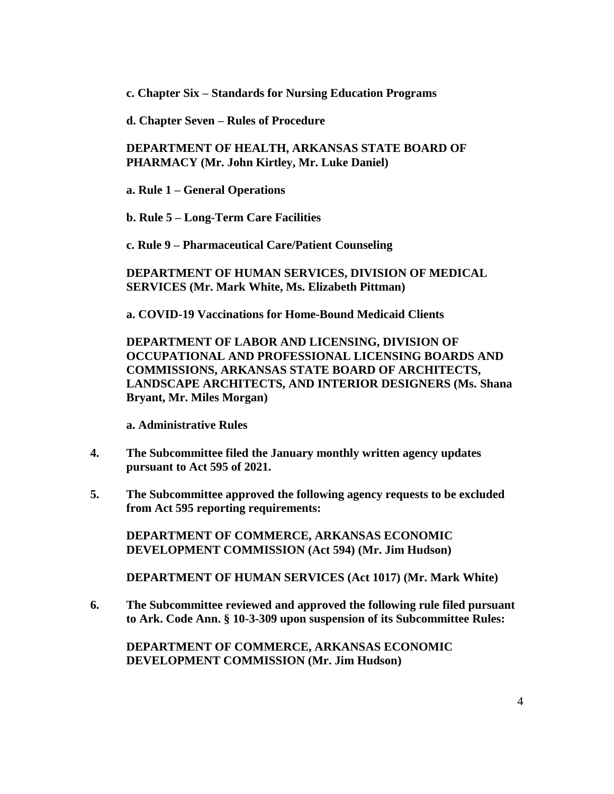**c. Chapter Six – Standards for Nursing Education Programs**

**d. Chapter Seven – Rules of Procedure**

**DEPARTMENT OF HEALTH, ARKANSAS STATE BOARD OF PHARMACY (Mr. John Kirtley, Mr. Luke Daniel)**

**a. Rule 1 – General Operations**

**b. Rule 5 – Long-Term Care Facilities**

**c. Rule 9 – Pharmaceutical Care/Patient Counseling**

**DEPARTMENT OF HUMAN SERVICES, DIVISION OF MEDICAL SERVICES (Mr. Mark White, Ms. Elizabeth Pittman)**

**a. COVID-19 Vaccinations for Home-Bound Medicaid Clients**

**DEPARTMENT OF LABOR AND LICENSING, DIVISION OF OCCUPATIONAL AND PROFESSIONAL LICENSING BOARDS AND COMMISSIONS, ARKANSAS STATE BOARD OF ARCHITECTS, LANDSCAPE ARCHITECTS, AND INTERIOR DESIGNERS (Ms. Shana Bryant, Mr. Miles Morgan)**

**a. Administrative Rules**

- **4. The Subcommittee filed the January monthly written agency updates pursuant to Act 595 of 2021.**
- **5. The Subcommittee approved the following agency requests to be excluded from Act 595 reporting requirements:**

**DEPARTMENT OF COMMERCE, ARKANSAS ECONOMIC DEVELOPMENT COMMISSION (Act 594) (Mr. Jim Hudson)**

**DEPARTMENT OF HUMAN SERVICES (Act 1017) (Mr. Mark White)**

**6. The Subcommittee reviewed and approved the following rule filed pursuant to Ark. Code Ann. § 10-3-309 upon suspension of its Subcommittee Rules:**

**DEPARTMENT OF COMMERCE, ARKANSAS ECONOMIC DEVELOPMENT COMMISSION (Mr. Jim Hudson)**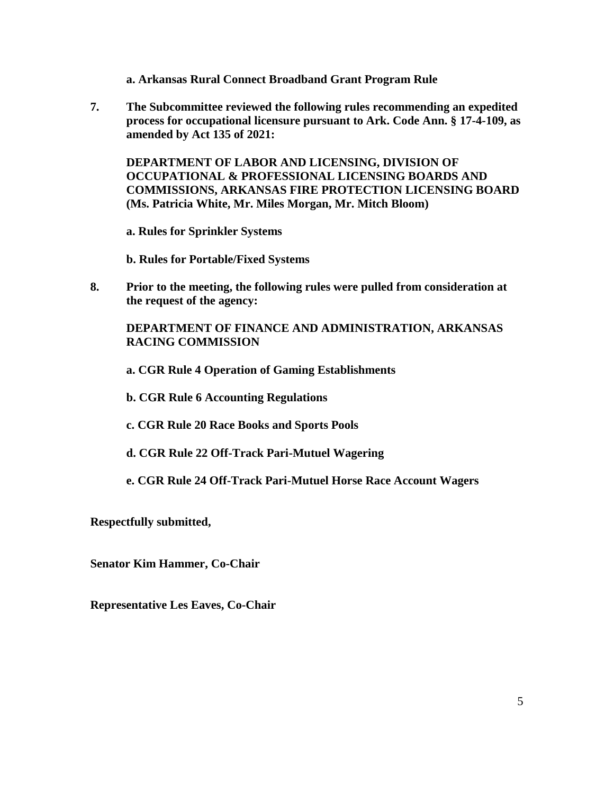- **a. Arkansas Rural Connect Broadband Grant Program Rule**
- **7. The Subcommittee reviewed the following rules recommending an expedited process for occupational licensure pursuant to Ark. Code Ann. § 17-4-109, as amended by Act 135 of 2021:**

**DEPARTMENT OF LABOR AND LICENSING, DIVISION OF OCCUPATIONAL & PROFESSIONAL LICENSING BOARDS AND COMMISSIONS, ARKANSAS FIRE PROTECTION LICENSING BOARD (Ms. Patricia White, Mr. Miles Morgan, Mr. Mitch Bloom)**

**a. Rules for Sprinkler Systems**

**b. Rules for Portable/Fixed Systems**

**8. Prior to the meeting, the following rules were pulled from consideration at the request of the agency:**

**DEPARTMENT OF FINANCE AND ADMINISTRATION, ARKANSAS RACING COMMISSION**

**a. CGR Rule 4 Operation of Gaming Establishments**

**b. CGR Rule 6 Accounting Regulations**

- **c. CGR Rule 20 Race Books and Sports Pools**
- **d. CGR Rule 22 Off-Track Pari-Mutuel Wagering**
- **e. CGR Rule 24 Off-Track Pari-Mutuel Horse Race Account Wagers**

**Respectfully submitted,**

**Senator Kim Hammer, Co-Chair**

**Representative Les Eaves, Co-Chair**